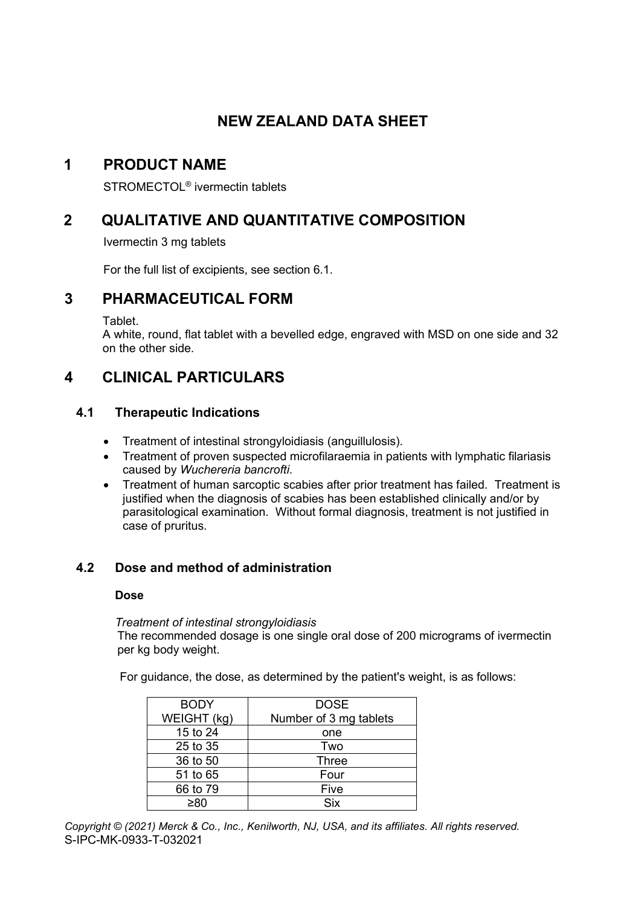# **NEW ZEALAND DATA SHEET**

# **1 PRODUCT NAME**

STROMECTOL® ivermectin tablets

# **2 QUALITATIVE AND QUANTITATIVE COMPOSITION**

Ivermectin 3 mg tablets

For the full list of excipients, see section 6.1.

## **3 PHARMACEUTICAL FORM**

Tablet.

A white, round, flat tablet with a bevelled edge, engraved with MSD on one side and 32 on the other side.

# **4 CLINICAL PARTICULARS**

## **4.1 Therapeutic Indications**

- Treatment of intestinal strongyloidiasis (anguillulosis).
- Treatment of proven suspected microfilaraemia in patients with lymphatic filariasis caused by *Wuchereria bancrofti*.
- Treatment of human sarcoptic scabies after prior treatment has failed. Treatment is justified when the diagnosis of scabies has been established clinically and/or by parasitological examination. Without formal diagnosis, treatment is not justified in case of pruritus.

## **4.2 Dose and method of administration**

#### **Dose**

*Treatment of intestinal strongyloidiasis* The recommended dosage is one single oral dose of 200 micrograms of ivermectin per kg body weight.

For guidance, the dose, as determined by the patient's weight, is as follows:

| <b>BODY</b> | <b>DOSE</b>            |
|-------------|------------------------|
| WEIGHT (kg) | Number of 3 mg tablets |
| 15 to 24    | one                    |
| 25 to 35    | Two                    |
| 36 to 50    | Three                  |
| 51 to 65    | Four                   |
| 66 to 79    | Five                   |
| >8∩         | Six                    |

*Copyright © (2021) Merck & Co., Inc., Kenilworth, NJ, USA, and its affiliates. All rights reserved.* S-IPC-MK-0933-T-032021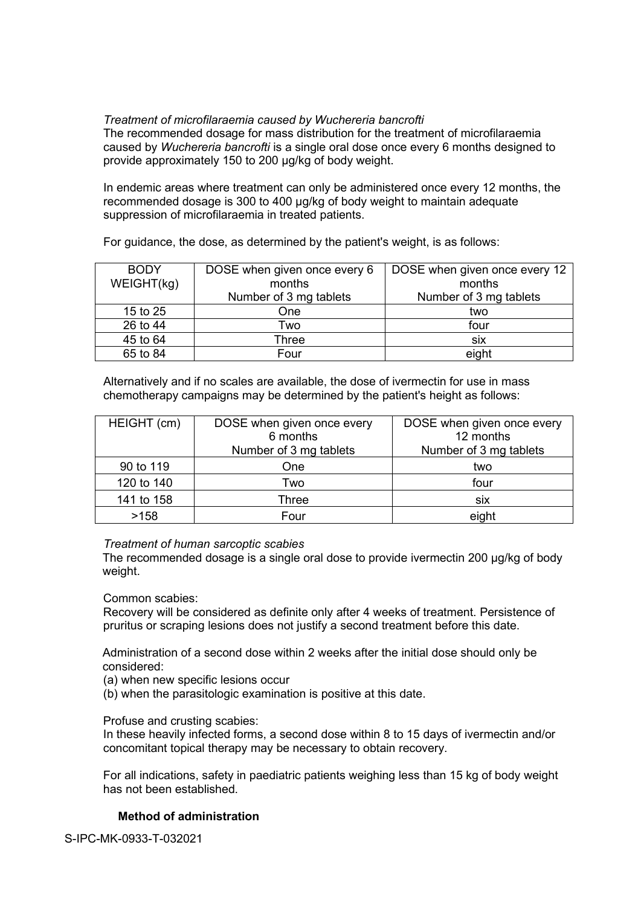### *Treatment of microfilaraemia caused by Wuchereria bancrofti*

The recommended dosage for mass distribution for the treatment of microfilaraemia caused by *Wuchereria bancrofti* is a single oral dose once every 6 months designed to provide approximately 150 to 200 µg/kg of body weight.

In endemic areas where treatment can only be administered once every 12 months, the recommended dosage is 300 to 400 µg/kg of body weight to maintain adequate suppression of microfilaraemia in treated patients.

For guidance, the dose, as determined by the patient's weight, is as follows:

| <b>BODY</b><br>WEIGHT(kg) | DOSE when given once every 6<br>months | DOSE when given once every 12<br>months |
|---------------------------|----------------------------------------|-----------------------------------------|
|                           | Number of 3 mg tablets                 | Number of 3 mg tablets                  |
| 15 to 25                  | One                                    | two                                     |
| 26 to 44                  | Two                                    | four                                    |
| 45 to 64                  | Three                                  | six                                     |
| 65 to 84                  | Four                                   | eight                                   |

Alternatively and if no scales are available, the dose of ivermectin for use in mass chemotherapy campaigns may be determined by the patient's height as follows:

| HEIGHT (cm) | DOSE when given once every<br>6 months<br>Number of 3 mg tablets | DOSE when given once every<br>12 months<br>Number of 3 mg tablets |
|-------------|------------------------------------------------------------------|-------------------------------------------------------------------|
| 90 to 119   | One                                                              | two                                                               |
| 120 to 140  | Two                                                              | four                                                              |
| 141 to 158  | Three                                                            | <b>SIX</b>                                                        |
| >158        | Four                                                             | eight                                                             |

*Treatment of human sarcoptic scabies*

The recommended dosage is a single oral dose to provide ivermectin 200 µg/kg of body weight.

Common scabies:

Recovery will be considered as definite only after 4 weeks of treatment. Persistence of pruritus or scraping lesions does not justify a second treatment before this date.

Administration of a second dose within 2 weeks after the initial dose should only be considered:

- (a) when new specific lesions occur
- (b) when the parasitologic examination is positive at this date.

Profuse and crusting scabies:

In these heavily infected forms, a second dose within 8 to 15 days of ivermectin and/or concomitant topical therapy may be necessary to obtain recovery.

For all indications, safety in paediatric patients weighing less than 15 kg of body weight has not been established.

## **Method of administration**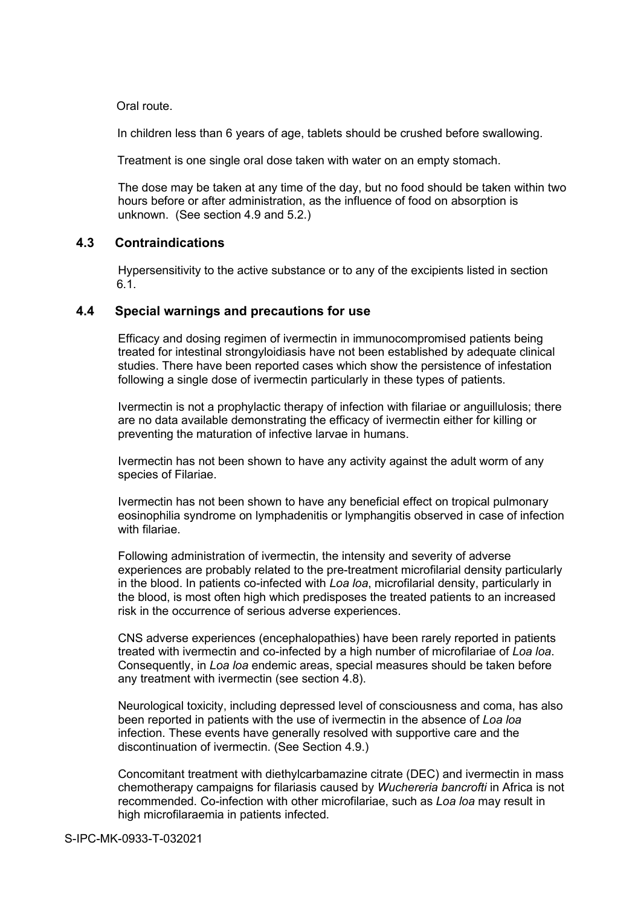Oral route.

In children less than 6 years of age, tablets should be crushed before swallowing.

Treatment is one single oral dose taken with water on an empty stomach.

The dose may be taken at any time of the day, but no food should be taken within two hours before or after administration, as the influence of food on absorption is unknown. (See section 4.9 and 5.2.)

### **4.3 Contraindications**

Hypersensitivity to the active substance or to any of the excipients listed in section 6.1.

### **4.4 Special warnings and precautions for use**

Efficacy and dosing regimen of ivermectin in immunocompromised patients being treated for intestinal strongyloidiasis have not been established by adequate clinical studies. There have been reported cases which show the persistence of infestation following a single dose of ivermectin particularly in these types of patients.

Ivermectin is not a prophylactic therapy of infection with filariae or anguillulosis; there are no data available demonstrating the efficacy of ivermectin either for killing or preventing the maturation of infective larvae in humans.

Ivermectin has not been shown to have any activity against the adult worm of any species of Filariae.

Ivermectin has not been shown to have any beneficial effect on tropical pulmonary eosinophilia syndrome on lymphadenitis or lymphangitis observed in case of infection with filariae.

Following administration of ivermectin, the intensity and severity of adverse experiences are probably related to the pre-treatment microfilarial density particularly in the blood. In patients co-infected with *Loa loa*, microfilarial density, particularly in the blood, is most often high which predisposes the treated patients to an increased risk in the occurrence of serious adverse experiences.

CNS adverse experiences (encephalopathies) have been rarely reported in patients treated with ivermectin and co-infected by a high number of microfilariae of *Loa loa*. Consequently, in *Loa loa* endemic areas, special measures should be taken before any treatment with ivermectin (see section 4.8).

Neurological toxicity, including depressed level of consciousness and coma, has also been reported in patients with the use of ivermectin in the absence of *Loa loa* infection. These events have generally resolved with supportive care and the discontinuation of ivermectin. (See Section 4.9.)

Concomitant treatment with diethylcarbamazine citrate (DEC) and ivermectin in mass chemotherapy campaigns for filariasis caused by *Wuchereria bancrofti* in Africa is not recommended. Co-infection with other microfilariae, such as *Loa loa* may result in high microfilaraemia in patients infected.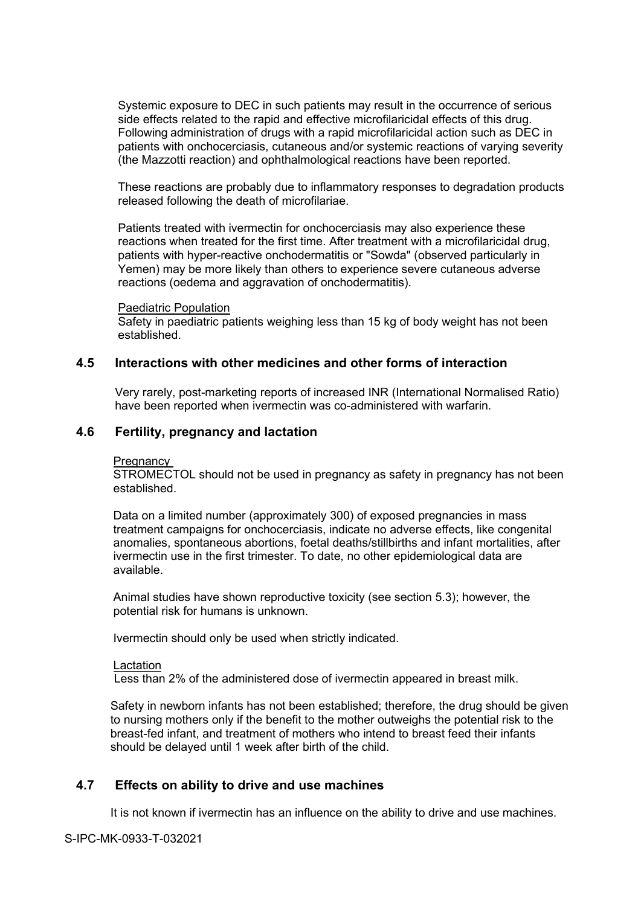Systemic exposure to DEC in such patients may result in the occurrence of serious side effects related to the rapid and effective microfilaricidal effects of this drug. Following administration of drugs with a rapid microfilaricidal action such as DEC in patients with onchocerciasis, cutaneous and/or systemic reactions of varying severity (the Mazzotti reaction) and ophthalmological reactions have been reported.

These reactions are probably due to inflammatory responses to degradation products released following the death of microfilariae.

Patients treated with ivermectin for onchocerciasis may also experience these reactions when treated for the first time. After treatment with a microfilaricidal drug, patients with hyper-reactive onchodermatitis or "Sowda" (observed particularly in Yemen) may be more likely than others to experience severe cutaneous adverse reactions (oedema and aggravation of onchodermatitis).

#### Paediatric Population

Safety in paediatric patients weighing less than 15 kg of body weight has not been established.

#### **4.5 Interactions with other medicines and other forms of interaction**

Very rarely, post-marketing reports of increased INR (International Normalised Ratio) have been reported when ivermectin was co-administered with warfarin.

#### **4.6 Fertility, pregnancy and lactation**

#### Pregnancy

STROMECTOL should not be used in pregnancy as safety in pregnancy has not been established.

Data on a limited number (approximately 300) of exposed pregnancies in mass treatment campaigns for onchocerciasis, indicate no adverse effects, like congenital anomalies, spontaneous abortions, foetal deaths/stillbirths and infant mortalities, after ivermectin use in the first trimester. To date, no other epidemiological data are available.

Animal studies have shown reproductive toxicity (see section 5.3); however, the potential risk for humans is unknown.

Ivermectin should only be used when strictly indicated.

#### Lactation

Less than 2% of the administered dose of ivermectin appeared in breast milk.

Safety in newborn infants has not been established; therefore, the drug should be given to nursing mothers only if the benefit to the mother outweighs the potential risk to the breast-fed infant, and treatment of mothers who intend to breast feed their infants should be delayed until 1 week after birth of the child.

#### **4.7 Effects on ability to drive and use machines**

It is not known if ivermectin has an influence on the ability to drive and use machines.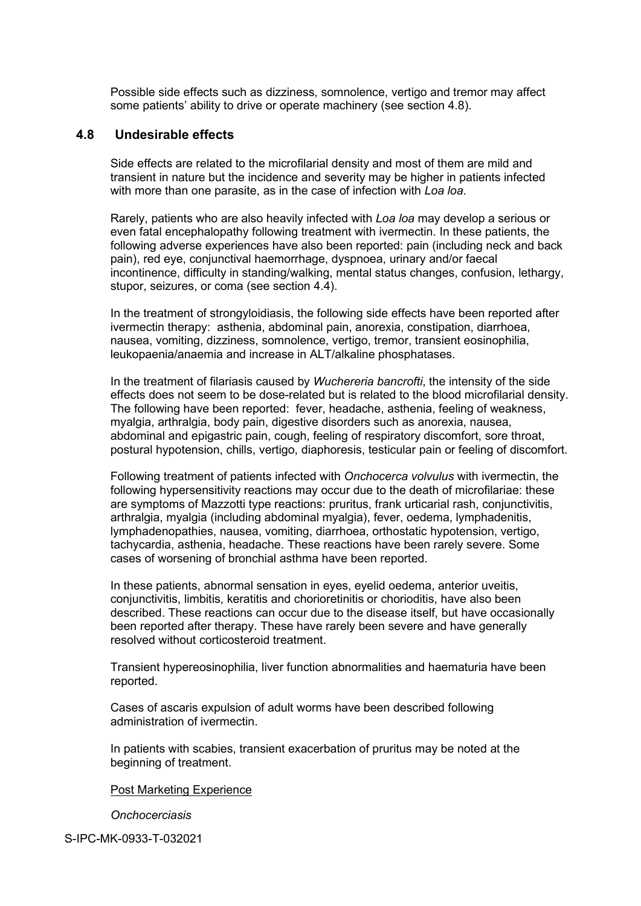Possible side effects such as dizziness, somnolence, vertigo and tremor may affect some patients' ability to drive or operate machinery (see section 4.8).

#### **4.8 Undesirable effects**

Side effects are related to the microfilarial density and most of them are mild and transient in nature but the incidence and severity may be higher in patients infected with more than one parasite, as in the case of infection with *Loa loa*.

Rarely, patients who are also heavily infected with *Loa loa* may develop a serious or even fatal encephalopathy following treatment with ivermectin. In these patients, the following adverse experiences have also been reported: pain (including neck and back pain), red eye, conjunctival haemorrhage, dyspnoea, urinary and/or faecal incontinence, difficulty in standing/walking, mental status changes, confusion, lethargy, stupor, seizures, or coma (see section 4.4).

In the treatment of strongyloidiasis, the following side effects have been reported after ivermectin therapy: asthenia, abdominal pain, anorexia, constipation, diarrhoea, nausea, vomiting, dizziness, somnolence, vertigo, tremor, transient eosinophilia, leukopaenia/anaemia and increase in ALT/alkaline phosphatases.

In the treatment of filariasis caused by *Wuchereria bancrofti*, the intensity of the side effects does not seem to be dose-related but is related to the blood microfilarial density. The following have been reported: fever, headache, asthenia, feeling of weakness, myalgia, arthralgia, body pain, digestive disorders such as anorexia, nausea, abdominal and epigastric pain, cough, feeling of respiratory discomfort, sore throat, postural hypotension, chills, vertigo, diaphoresis, testicular pain or feeling of discomfort.

Following treatment of patients infected with *Onchocerca volvulus* with ivermectin, the following hypersensitivity reactions may occur due to the death of microfilariae: these are symptoms of Mazzotti type reactions: pruritus, frank urticarial rash, conjunctivitis, arthralgia, myalgia (including abdominal myalgia), fever, oedema, lymphadenitis, lymphadenopathies, nausea, vomiting, diarrhoea, orthostatic hypotension, vertigo, tachycardia, asthenia, headache. These reactions have been rarely severe. Some cases of worsening of bronchial asthma have been reported.

In these patients, abnormal sensation in eyes, eyelid oedema, anterior uveitis, conjunctivitis, limbitis, keratitis and chorioretinitis or chorioditis, have also been described. These reactions can occur due to the disease itself, but have occasionally been reported after therapy. These have rarely been severe and have generally resolved without corticosteroid treatment.

Transient hypereosinophilia, liver function abnormalities and haematuria have been reported.

Cases of ascaris expulsion of adult worms have been described following administration of ivermectin.

In patients with scabies, transient exacerbation of pruritus may be noted at the beginning of treatment.

#### Post Marketing Experience

*Onchocerciasis*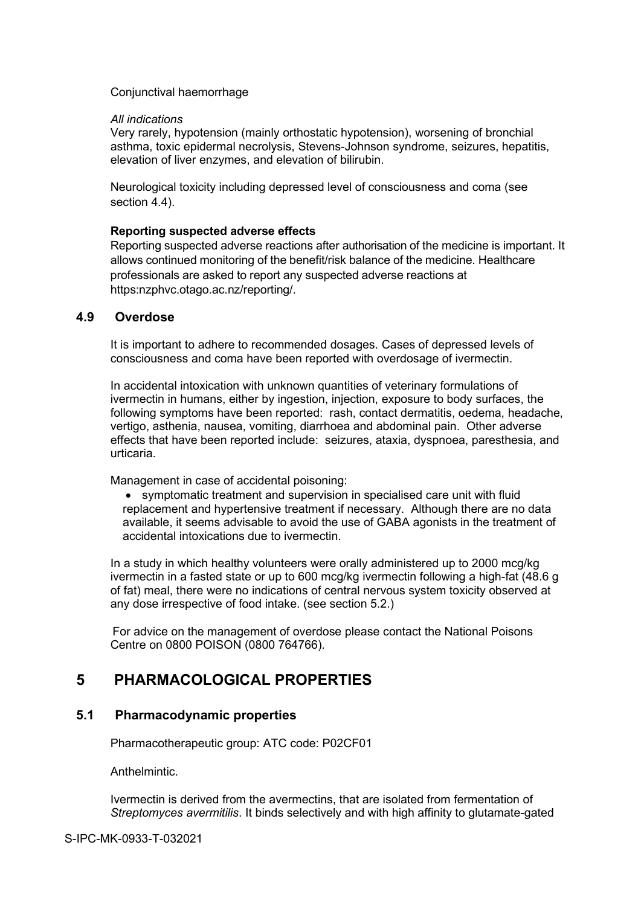#### Conjunctival haemorrhage

#### *All indications*

Very rarely, hypotension (mainly orthostatic hypotension), worsening of bronchial asthma, toxic epidermal necrolysis, Stevens-Johnson syndrome, seizures, hepatitis, elevation of liver enzymes, and elevation of bilirubin.

Neurological toxicity including depressed level of consciousness and coma (see section 4.4).

#### **Reporting suspected adverse effects**

Reporting suspected adverse reactions after authorisation of the medicine is important. It allows continued monitoring of the benefit/risk balance of the medicine. Healthcare professionals are asked to report any suspected adverse reactions at https:nzphvc.otago.ac.nz/reporting/.

### **4.9 Overdose**

It is important to adhere to recommended dosages. Cases of depressed levels of consciousness and coma have been reported with overdosage of ivermectin.

In accidental intoxication with unknown quantities of veterinary formulations of ivermectin in humans, either by ingestion, injection, exposure to body surfaces, the following symptoms have been reported: rash, contact dermatitis, oedema, headache, vertigo, asthenia, nausea, vomiting, diarrhoea and abdominal pain. Other adverse effects that have been reported include: seizures, ataxia, dyspnoea, paresthesia, and urticaria.

Management in case of accidental poisoning:

• symptomatic treatment and supervision in specialised care unit with fluid replacement and hypertensive treatment if necessary. Although there are no data available, it seems advisable to avoid the use of GABA agonists in the treatment of accidental intoxications due to ivermectin.

In a study in which healthy volunteers were orally administered up to 2000 mcg/kg ivermectin in a fasted state or up to 600 mcg/kg ivermectin following a high-fat (48.6 g of fat) meal, there were no indications of central nervous system toxicity observed at any dose irrespective of food intake. (see section 5.2.)

 For advice on the management of overdose please contact the National Poisons Centre on 0800 POISON (0800 764766).

## **5 PHARMACOLOGICAL PROPERTIES**

#### **5.1 Pharmacodynamic properties**

Pharmacotherapeutic group: ATC code: P02CF01

**Anthelmintic.** 

Ivermectin is derived from the avermectins, that are isolated from fermentation of *Streptomyces avermitilis*. It binds selectively and with high affinity to glutamate-gated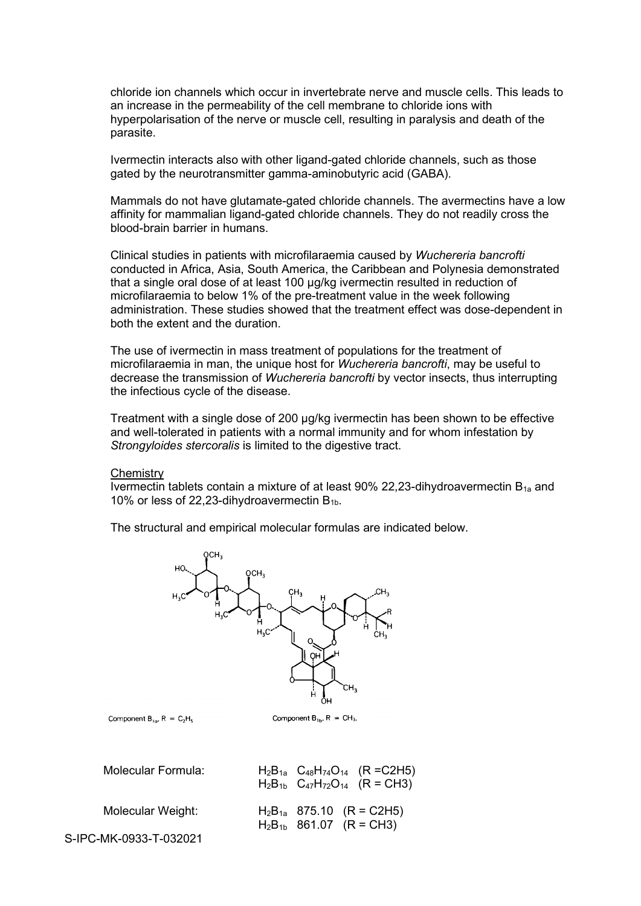chloride ion channels which occur in invertebrate nerve and muscle cells. This leads to an increase in the permeability of the cell membrane to chloride ions with hyperpolarisation of the nerve or muscle cell, resulting in paralysis and death of the parasite.

Ivermectin interacts also with other ligand-gated chloride channels, such as those gated by the neurotransmitter gamma-aminobutyric acid (GABA).

Mammals do not have glutamate-gated chloride channels. The avermectins have a low affinity for mammalian ligand-gated chloride channels. They do not readily cross the blood-brain barrier in humans.

Clinical studies in patients with microfilaraemia caused by *Wuchereria bancrofti* conducted in Africa, Asia, South America, the Caribbean and Polynesia demonstrated that a single oral dose of at least 100 µg/kg ivermectin resulted in reduction of microfilaraemia to below 1% of the pre-treatment value in the week following administration. These studies showed that the treatment effect was dose-dependent in both the extent and the duration.

The use of ivermectin in mass treatment of populations for the treatment of microfilaraemia in man, the unique host for *Wuchereria bancrofti*, may be useful to decrease the transmission of *Wuchereria bancrofti* by vector insects, thus interrupting the infectious cycle of the disease.

Treatment with a single dose of 200 µg/kg ivermectin has been shown to be effective and well-tolerated in patients with a normal immunity and for whom infestation by *Strongyloides stercoralis* is limited to the digestive tract.

#### **Chemistry**

Ivermectin tablets contain a mixture of at least  $90\%$  22,23-dihydroavermectin  $B_{1a}$  and 10% or less of 22,23-dihydroavermectin  $B_{1b}$ .

The structural and empirical molecular formulas are indicated below.



Component  $B_{10}$ ,  $R = C_2H_5$ 

| <b>Molecular Formula:</b> | $H_2B_{1a}$ $C_{48}H_{74}O_{14}$ (R = C2H5)<br>$H_2B_{1b}$ $C_{47}H_{72}O_{14}$ $(R = CH3)$ |
|---------------------------|---------------------------------------------------------------------------------------------|
| Molecular Weight:         | $H_2B_{1a}$ 875.10 (R = C2H5)<br>$H_2B_{1b}$ 861.07 (R = CH3)                               |
| S-IPC-MK-0933-T-032021    |                                                                                             |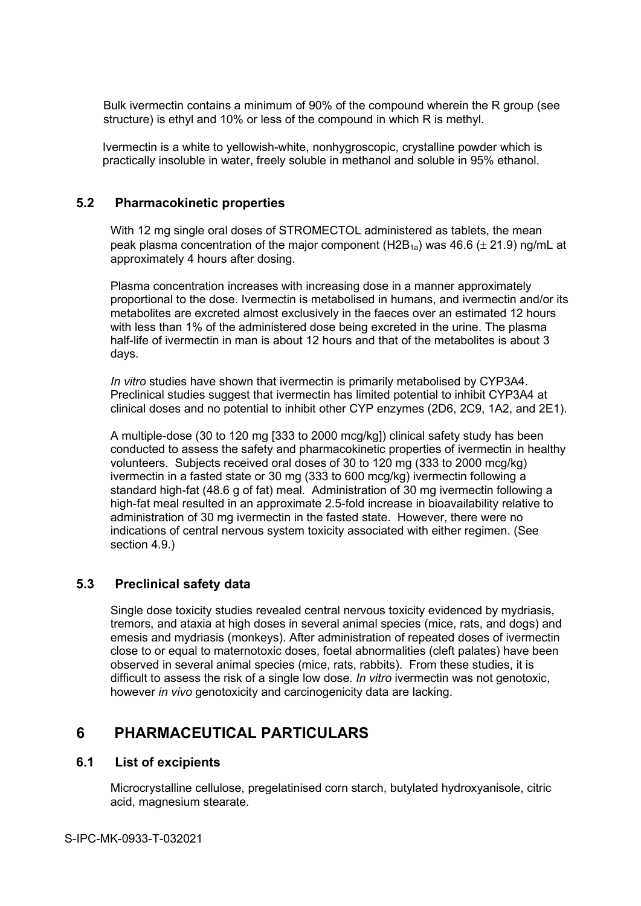Bulk ivermectin contains a minimum of 90% of the compound wherein the R group (see structure) is ethyl and 10% or less of the compound in which R is methyl.

Ivermectin is a white to yellowish-white, nonhygroscopic, crystalline powder which is practically insoluble in water, freely soluble in methanol and soluble in 95% ethanol.

### **5.2 Pharmacokinetic properties**

With 12 mg single oral doses of STROMECTOL administered as tablets, the mean peak plasma concentration of the major component (H2B<sub>1a</sub>) was 46.6 ( $\pm$  21.9) ng/mL at approximately 4 hours after dosing.

Plasma concentration increases with increasing dose in a manner approximately proportional to the dose. Ivermectin is metabolised in humans, and ivermectin and/or its metabolites are excreted almost exclusively in the faeces over an estimated 12 hours with less than 1% of the administered dose being excreted in the urine. The plasma half-life of ivermectin in man is about 12 hours and that of the metabolites is about 3 days.

*In vitro* studies have shown that ivermectin is primarily metabolised by CYP3A4. Preclinical studies suggest that ivermectin has limited potential to inhibit CYP3A4 at clinical doses and no potential to inhibit other CYP enzymes (2D6, 2C9, 1A2, and 2E1).

A multiple-dose (30 to 120 mg [333 to 2000 mcg/kg]) clinical safety study has been conducted to assess the safety and pharmacokinetic properties of ivermectin in healthy volunteers. Subjects received oral doses of 30 to 120 mg (333 to 2000 mcg/kg) ivermectin in a fasted state or 30 mg (333 to 600 mcg/kg) ivermectin following a standard high-fat (48.6 g of fat) meal. Administration of 30 mg ivermectin following a high-fat meal resulted in an approximate 2.5-fold increase in bioavailability relative to administration of 30 mg ivermectin in the fasted state. However, there were no indications of central nervous system toxicity associated with either regimen. (See section 4.9.)

## **5.3 Preclinical safety data**

Single dose toxicity studies revealed central nervous toxicity evidenced by mydriasis, tremors, and ataxia at high doses in several animal species (mice, rats, and dogs) and emesis and mydriasis (monkeys). After administration of repeated doses of ivermectin close to or equal to maternotoxic doses, foetal abnormalities (cleft palates) have been observed in several animal species (mice, rats, rabbits). From these studies, it is difficult to assess the risk of a single low dose. *In vitro* ivermectin was not genotoxic, however *in vivo* genotoxicity and carcinogenicity data are lacking.

## **6 PHARMACEUTICAL PARTICULARS**

#### **6.1 List of excipients**

Microcrystalline cellulose, pregelatinised corn starch, butylated hydroxyanisole, citric acid, magnesium stearate.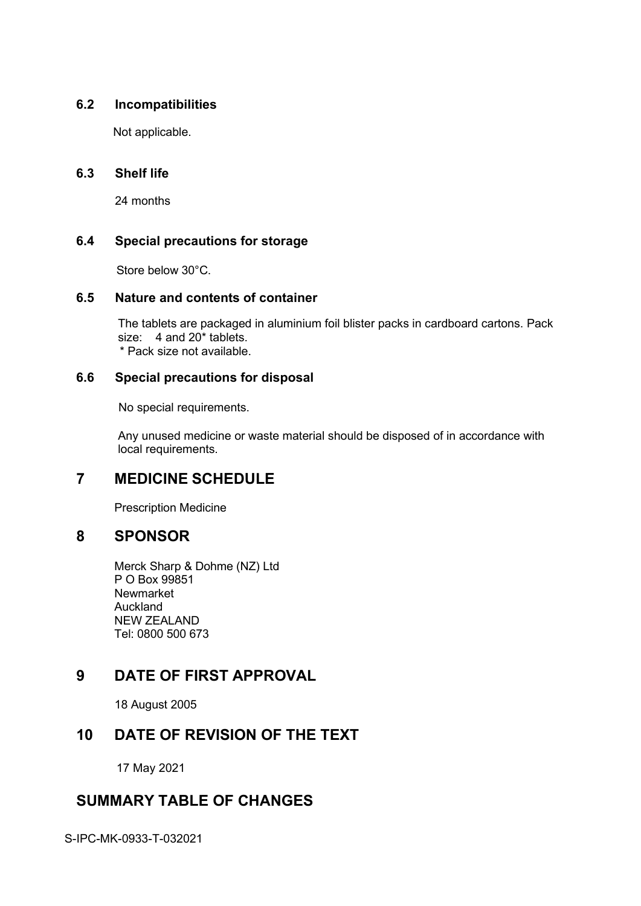## **6.2 Incompatibilities**

Not applicable.

## **6.3 Shelf life**

24 months

## **6.4 Special precautions for storage**

Store below 30°C.

## **6.5 Nature and contents of container**

The tablets are packaged in aluminium foil blister packs in cardboard cartons. Pack size: 4 and 20\* tablets. \* Pack size not available.

## **6.6 Special precautions for disposal**

No special requirements.

Any unused medicine or waste material should be disposed of in accordance with local requirements.

# **7 MEDICINE SCHEDULE**

Prescription Medicine

## **8 SPONSOR**

Merck Sharp & Dohme (NZ) Ltd P O Box 99851 Newmarket Auckland NEW ZEALAND Tel: 0800 500 673

# **9 DATE OF FIRST APPROVAL**

18 August 2005

## **10 DATE OF REVISION OF THE TEXT**

17 May 2021

## **SUMMARY TABLE OF CHANGES**